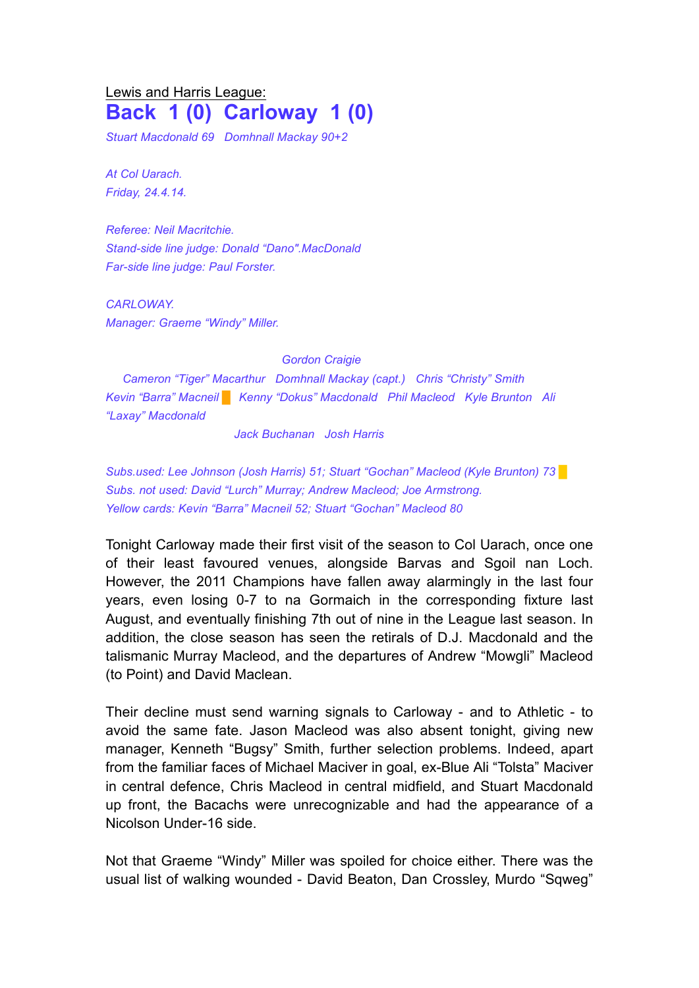## Lewis and Harris League: **Back 1 (0) Carloway 1 (0)**

*Stuart Macdonald 69 Domhnall Mackay 90+2*

*At Col Uarach. Friday, 24.4.14.*

*Referee: Neil Macritchie. Stand-side line judge: Donald "Dano".MacDonald Far-side line judge: Paul Forster.*

*CARLOWAY. Manager: Graeme "Windy" Miller.*

*Gordon Craigie*

*Cameron "Tiger" Macarthur Domhnall Mackay (capt.) Chris "Christy" Smith Kevin "Barra" Macneil* █ *Kenny "Dokus" Macdonald Phil Macleod Kyle Brunton Ali "Laxay" Macdonald*

*Jack Buchanan Josh Harris*

*Subs.used: Lee Johnson (Josh Harris) 51; Stuart "Gochan" Macleod (Kyle Brunton) 73 █ Subs. not used: David "Lurch" Murray; Andrew Macleod; Joe Armstrong. Yellow cards: Kevin "Barra" Macneil 52; Stuart "Gochan" Macleod 80*

Tonight Carloway made their first visit of the season to Col Uarach, once one of their least favoured venues, alongside Barvas and Sgoil nan Loch. However, the 2011 Champions have fallen away alarmingly in the last four years, even losing 0-7 to na Gormaich in the corresponding fixture last August, and eventually finishing 7th out of nine in the League last season. In addition, the close season has seen the retirals of D.J. Macdonald and the talismanic Murray Macleod, and the departures of Andrew "Mowgli" Macleod (to Point) and David Maclean.

Their decline must send warning signals to Carloway - and to Athletic - to avoid the same fate. Jason Macleod was also absent tonight, giving new manager, Kenneth "Bugsy" Smith, further selection problems. Indeed, apart from the familiar faces of Michael Maciver in goal, ex-Blue Ali "Tolsta" Maciver in central defence, Chris Macleod in central midfield, and Stuart Macdonald up front, the Bacachs were unrecognizable and had the appearance of a Nicolson Under-16 side.

Not that Graeme "Windy" Miller was spoiled for choice either. There was the usual list of walking wounded - David Beaton, Dan Crossley, Murdo "Sqweg"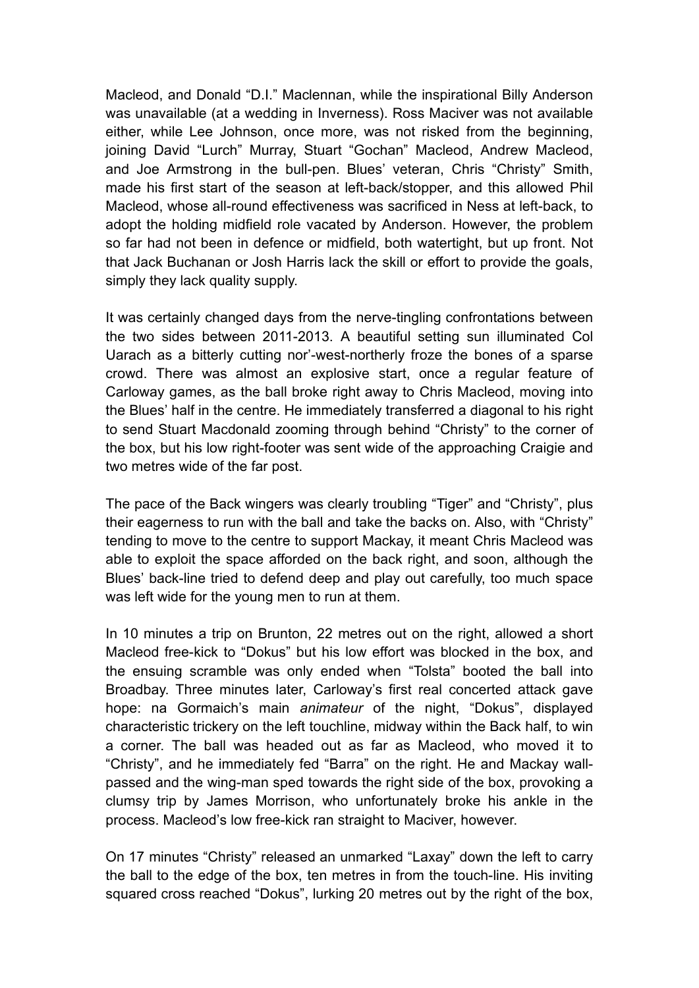Macleod, and Donald "D.I." Maclennan, while the inspirational Billy Anderson was unavailable (at a wedding in Inverness). Ross Maciver was not available either, while Lee Johnson, once more, was not risked from the beginning, joining David "Lurch" Murray, Stuart "Gochan" Macleod, Andrew Macleod, and Joe Armstrong in the bull-pen. Blues' veteran, Chris "Christy" Smith, made his first start of the season at left-back/stopper, and this allowed Phil Macleod, whose all-round effectiveness was sacrificed in Ness at left-back, to adopt the holding midfield role vacated by Anderson. However, the problem so far had not been in defence or midfield, both watertight, but up front. Not that Jack Buchanan or Josh Harris lack the skill or effort to provide the goals, simply they lack quality supply.

It was certainly changed days from the nerve-tingling confrontations between the two sides between 2011-2013. A beautiful setting sun illuminated Col Uarach as a bitterly cutting nor'-west-northerly froze the bones of a sparse crowd. There was almost an explosive start, once a regular feature of Carloway games, as the ball broke right away to Chris Macleod, moving into the Blues' half in the centre. He immediately transferred a diagonal to his right to send Stuart Macdonald zooming through behind "Christy" to the corner of the box, but his low right-footer was sent wide of the approaching Craigie and two metres wide of the far post.

The pace of the Back wingers was clearly troubling "Tiger" and "Christy", plus their eagerness to run with the ball and take the backs on. Also, with "Christy" tending to move to the centre to support Mackay, it meant Chris Macleod was able to exploit the space afforded on the back right, and soon, although the Blues' back-line tried to defend deep and play out carefully, too much space was left wide for the young men to run at them.

In 10 minutes a trip on Brunton, 22 metres out on the right, allowed a short Macleod free-kick to "Dokus" but his low effort was blocked in the box, and the ensuing scramble was only ended when "Tolsta" booted the ball into Broadbay. Three minutes later, Carloway's first real concerted attack gave hope: na Gormaich's main *animateur* of the night, "Dokus", displayed characteristic trickery on the left touchline, midway within the Back half, to win a corner. The ball was headed out as far as Macleod, who moved it to "Christy", and he immediately fed "Barra" on the right. He and Mackay wallpassed and the wing-man sped towards the right side of the box, provoking a clumsy trip by James Morrison, who unfortunately broke his ankle in the process. Macleod's low free-kick ran straight to Maciver, however.

On 17 minutes "Christy" released an unmarked "Laxay" down the left to carry the ball to the edge of the box, ten metres in from the touch-line. His inviting squared cross reached "Dokus", lurking 20 metres out by the right of the box,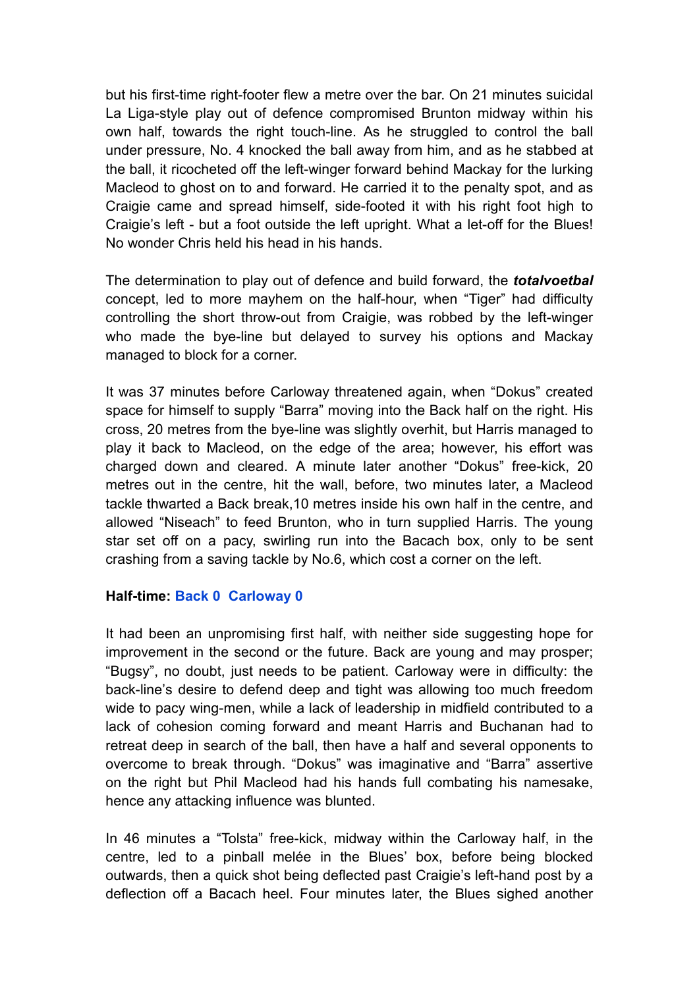but his first-time right-footer flew a metre over the bar. On 21 minutes suicidal La Liga-style play out of defence compromised Brunton midway within his own half, towards the right touch-line. As he struggled to control the ball under pressure, No. 4 knocked the ball away from him, and as he stabbed at the ball, it ricocheted off the left-winger forward behind Mackay for the lurking Macleod to ghost on to and forward. He carried it to the penalty spot, and as Craigie came and spread himself, side-footed it with his right foot high to Craigie's left - but a foot outside the left upright. What a let-off for the Blues! No wonder Chris held his head in his hands.

The determination to play out of defence and build forward, the *totalvoetbal* concept, led to more mayhem on the half-hour, when "Tiger" had difficulty controlling the short throw-out from Craigie, was robbed by the left-winger who made the bye-line but delayed to survey his options and Mackay managed to block for a corner.

It was 37 minutes before Carloway threatened again, when "Dokus" created space for himself to supply "Barra" moving into the Back half on the right. His cross, 20 metres from the bye-line was slightly overhit, but Harris managed to play it back to Macleod, on the edge of the area; however, his effort was charged down and cleared. A minute later another "Dokus" free-kick, 20 metres out in the centre, hit the wall, before, two minutes later, a Macleod tackle thwarted a Back break,10 metres inside his own half in the centre, and allowed "Niseach" to feed Brunton, who in turn supplied Harris. The young star set off on a pacy, swirling run into the Bacach box, only to be sent crashing from a saving tackle by No.6, which cost a corner on the left.

## **Half-time: Back 0 Carloway 0**

It had been an unpromising first half, with neither side suggesting hope for improvement in the second or the future. Back are young and may prosper; "Bugsy", no doubt, just needs to be patient. Carloway were in difficulty: the back-line's desire to defend deep and tight was allowing too much freedom wide to pacy wing-men, while a lack of leadership in midfield contributed to a lack of cohesion coming forward and meant Harris and Buchanan had to retreat deep in search of the ball, then have a half and several opponents to overcome to break through. "Dokus" was imaginative and "Barra" assertive on the right but Phil Macleod had his hands full combating his namesake, hence any attacking influence was blunted.

In 46 minutes a "Tolsta" free-kick, midway within the Carloway half, in the centre, led to a pinball melée in the Blues' box, before being blocked outwards, then a quick shot being deflected past Craigie's left-hand post by a deflection off a Bacach heel. Four minutes later, the Blues sighed another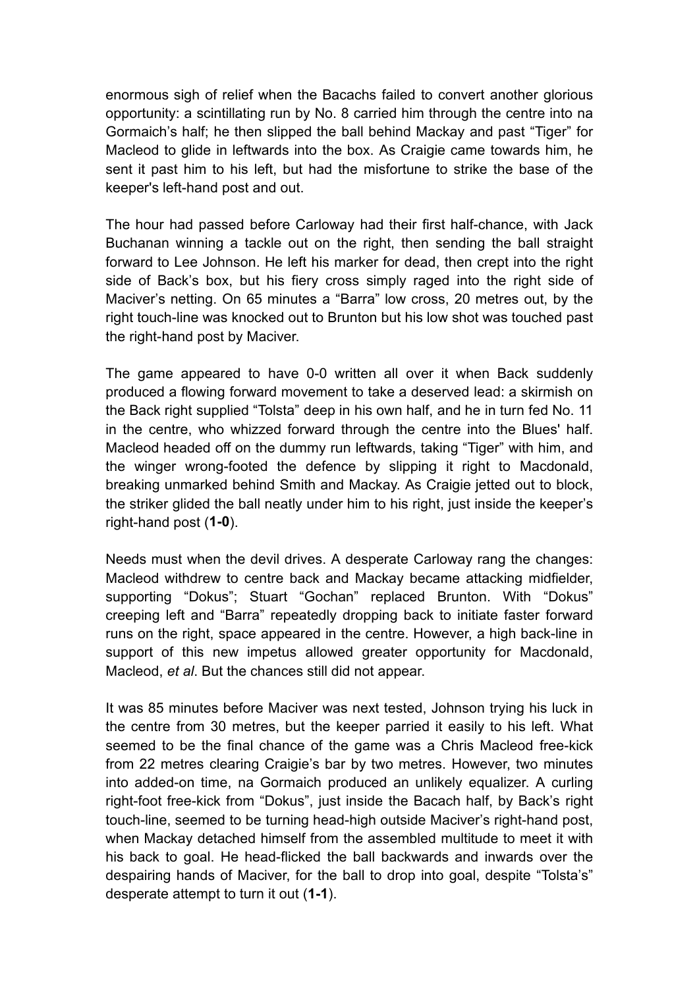enormous sigh of relief when the Bacachs failed to convert another glorious opportunity: a scintillating run by No. 8 carried him through the centre into na Gormaich's half; he then slipped the ball behind Mackay and past "Tiger" for Macleod to glide in leftwards into the box. As Craigie came towards him, he sent it past him to his left, but had the misfortune to strike the base of the keeper's left-hand post and out.

The hour had passed before Carloway had their first half-chance, with Jack Buchanan winning a tackle out on the right, then sending the ball straight forward to Lee Johnson. He left his marker for dead, then crept into the right side of Back's box, but his fiery cross simply raged into the right side of Maciver's netting. On 65 minutes a "Barra" low cross, 20 metres out, by the right touch-line was knocked out to Brunton but his low shot was touched past the right-hand post by Maciver.

The game appeared to have 0-0 written all over it when Back suddenly produced a flowing forward movement to take a deserved lead: a skirmish on the Back right supplied "Tolsta" deep in his own half, and he in turn fed No. 11 in the centre, who whizzed forward through the centre into the Blues' half. Macleod headed off on the dummy run leftwards, taking "Tiger" with him, and the winger wrong-footed the defence by slipping it right to Macdonald, breaking unmarked behind Smith and Mackay. As Craigie jetted out to block, the striker glided the ball neatly under him to his right, just inside the keeper's right-hand post (**1-0**).

Needs must when the devil drives. A desperate Carloway rang the changes: Macleod withdrew to centre back and Mackay became attacking midfielder, supporting "Dokus"; Stuart "Gochan" replaced Brunton. With "Dokus" creeping left and "Barra" repeatedly dropping back to initiate faster forward runs on the right, space appeared in the centre. However, a high back-line in support of this new impetus allowed greater opportunity for Macdonald, Macleod, *et al*. But the chances still did not appear.

It was 85 minutes before Maciver was next tested, Johnson trying his luck in the centre from 30 metres, but the keeper parried it easily to his left. What seemed to be the final chance of the game was a Chris Macleod free-kick from 22 metres clearing Craigie's bar by two metres. However, two minutes into added-on time, na Gormaich produced an unlikely equalizer. A curling right-foot free-kick from "Dokus", just inside the Bacach half, by Back's right touch-line, seemed to be turning head-high outside Maciver's right-hand post, when Mackay detached himself from the assembled multitude to meet it with his back to goal. He head-flicked the ball backwards and inwards over the despairing hands of Maciver, for the ball to drop into goal, despite "Tolsta's" desperate attempt to turn it out (**1-1**).